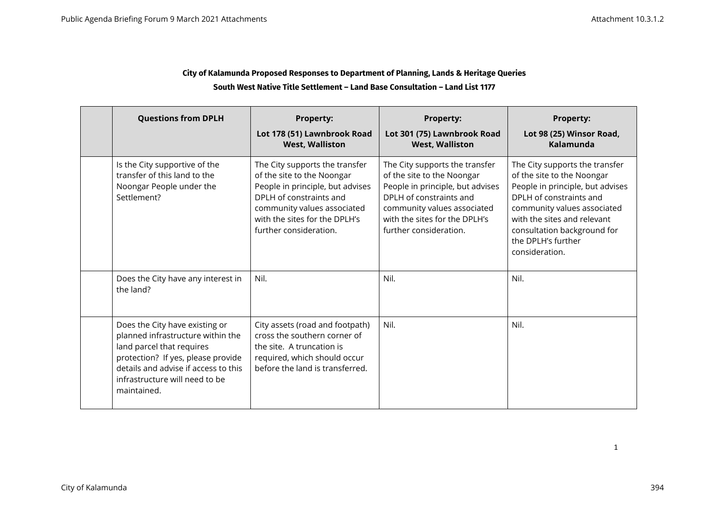### **City of Kalamunda Proposed Responses to Department of Planning, Lands & Heritage Queries South West Native Title Settlement – Land Base Consultation – Land List 1177**

|  | <b>Questions from DPLH</b>                                                                                                                                                                                                      | <b>Property:</b><br>Lot 178 (51) Lawnbrook Road<br><b>West, Walliston</b>                                                                                                                                             | <b>Property:</b><br>Lot 301 (75) Lawnbrook Road<br><b>West, Walliston</b>                                                                                                                                             | <b>Property:</b><br>Lot 98 (25) Winsor Road,<br>Kalamunda                                                                                                                                                                                                        |
|--|---------------------------------------------------------------------------------------------------------------------------------------------------------------------------------------------------------------------------------|-----------------------------------------------------------------------------------------------------------------------------------------------------------------------------------------------------------------------|-----------------------------------------------------------------------------------------------------------------------------------------------------------------------------------------------------------------------|------------------------------------------------------------------------------------------------------------------------------------------------------------------------------------------------------------------------------------------------------------------|
|  | Is the City supportive of the<br>transfer of this land to the<br>Noongar People under the<br>Settlement?                                                                                                                        | The City supports the transfer<br>of the site to the Noongar<br>People in principle, but advises<br>DPLH of constraints and<br>community values associated<br>with the sites for the DPLH's<br>further consideration. | The City supports the transfer<br>of the site to the Noongar<br>People in principle, but advises<br>DPLH of constraints and<br>community values associated<br>with the sites for the DPLH's<br>further consideration. | The City supports the transfer<br>of the site to the Noongar<br>People in principle, but advises<br>DPLH of constraints and<br>community values associated<br>with the sites and relevant<br>consultation background for<br>the DPLH's further<br>consideration. |
|  | Does the City have any interest in<br>the land?                                                                                                                                                                                 | Nil.                                                                                                                                                                                                                  | Nil.                                                                                                                                                                                                                  | Nil.                                                                                                                                                                                                                                                             |
|  | Does the City have existing or<br>planned infrastructure within the<br>land parcel that requires<br>protection? If yes, please provide<br>details and advise if access to this<br>infrastructure will need to be<br>maintained. | City assets (road and footpath)<br>cross the southern corner of<br>the site. A truncation is<br>required, which should occur<br>before the land is transferred.                                                       | Nil.                                                                                                                                                                                                                  | Nil.                                                                                                                                                                                                                                                             |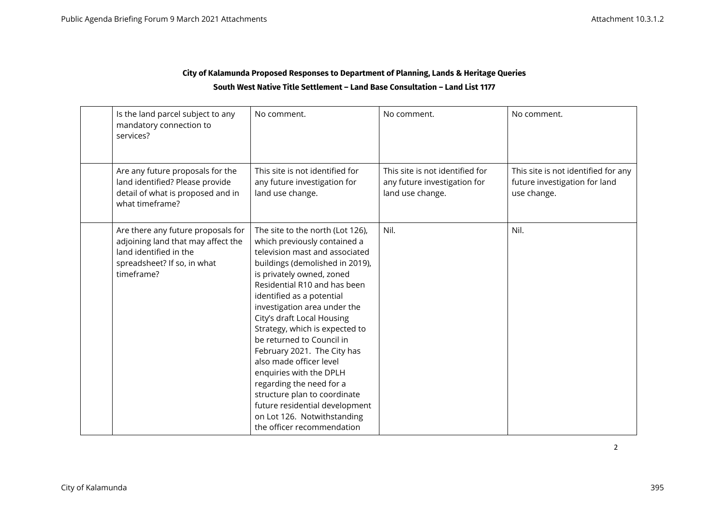## **City of Kalamunda Proposed Responses to Department of Planning, Lands & Heritage Queries South West Native Title Settlement – Land Base Consultation – Land List 1177**

| Is the land parcel subject to any<br>mandatory connection to<br>services?                                                                       | No comment.                                                                                                                                                                                                                                                                                                                                                                                                                                                                                                                                                                                                  | No comment.                                                                         | No comment.                                                                         |
|-------------------------------------------------------------------------------------------------------------------------------------------------|--------------------------------------------------------------------------------------------------------------------------------------------------------------------------------------------------------------------------------------------------------------------------------------------------------------------------------------------------------------------------------------------------------------------------------------------------------------------------------------------------------------------------------------------------------------------------------------------------------------|-------------------------------------------------------------------------------------|-------------------------------------------------------------------------------------|
| Are any future proposals for the<br>land identified? Please provide<br>detail of what is proposed and in<br>what timeframe?                     | This site is not identified for<br>any future investigation for<br>land use change.                                                                                                                                                                                                                                                                                                                                                                                                                                                                                                                          | This site is not identified for<br>any future investigation for<br>land use change. | This site is not identified for any<br>future investigation for land<br>use change. |
| Are there any future proposals for<br>adjoining land that may affect the<br>land identified in the<br>spreadsheet? If so, in what<br>timeframe? | The site to the north (Lot 126),<br>which previously contained a<br>television mast and associated<br>buildings (demolished in 2019),<br>is privately owned, zoned<br>Residential R10 and has been<br>identified as a potential<br>investigation area under the<br>City's draft Local Housing<br>Strategy, which is expected to<br>be returned to Council in<br>February 2021. The City has<br>also made officer level<br>enquiries with the DPLH<br>regarding the need for a<br>structure plan to coordinate<br>future residential development<br>on Lot 126. Notwithstanding<br>the officer recommendation | Nil.                                                                                | Nil.                                                                                |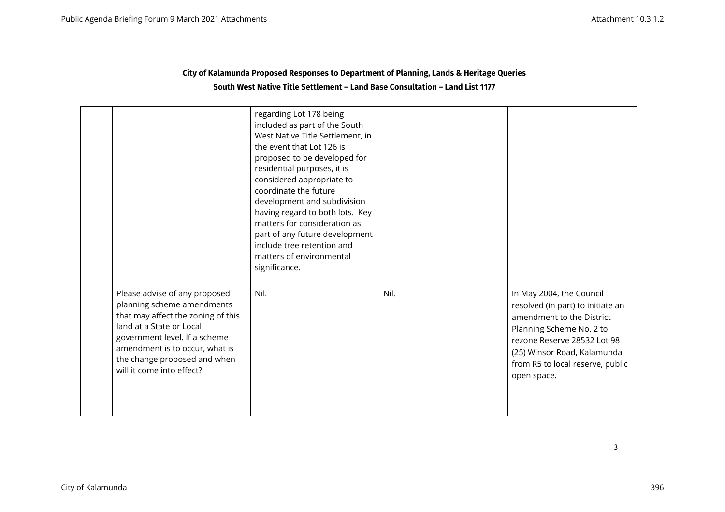| City of Kalamunda Proposed Responses to Department of Planning, Lands & Heritage Queries |
|------------------------------------------------------------------------------------------|
| South West Native Title Settlement - Land Base Consultation - Land List 1177             |

|                                                                                                                                                                                                                                                               | regarding Lot 178 being<br>included as part of the South<br>West Native Title Settlement, in<br>the event that Lot 126 is<br>proposed to be developed for<br>residential purposes, it is<br>considered appropriate to<br>coordinate the future<br>development and subdivision<br>having regard to both lots. Key<br>matters for consideration as<br>part of any future development<br>include tree retention and<br>matters of environmental<br>significance. |      |                                                                                                                                                                                                                                         |
|---------------------------------------------------------------------------------------------------------------------------------------------------------------------------------------------------------------------------------------------------------------|---------------------------------------------------------------------------------------------------------------------------------------------------------------------------------------------------------------------------------------------------------------------------------------------------------------------------------------------------------------------------------------------------------------------------------------------------------------|------|-----------------------------------------------------------------------------------------------------------------------------------------------------------------------------------------------------------------------------------------|
| Please advise of any proposed<br>planning scheme amendments<br>that may affect the zoning of this<br>land at a State or Local<br>government level. If a scheme<br>amendment is to occur, what is<br>the change proposed and when<br>will it come into effect? | Nil.                                                                                                                                                                                                                                                                                                                                                                                                                                                          | Nil. | In May 2004, the Council<br>resolved (in part) to initiate an<br>amendment to the District<br>Planning Scheme No. 2 to<br>rezone Reserve 28532 Lot 98<br>(25) Winsor Road, Kalamunda<br>from R5 to local reserve, public<br>open space. |

3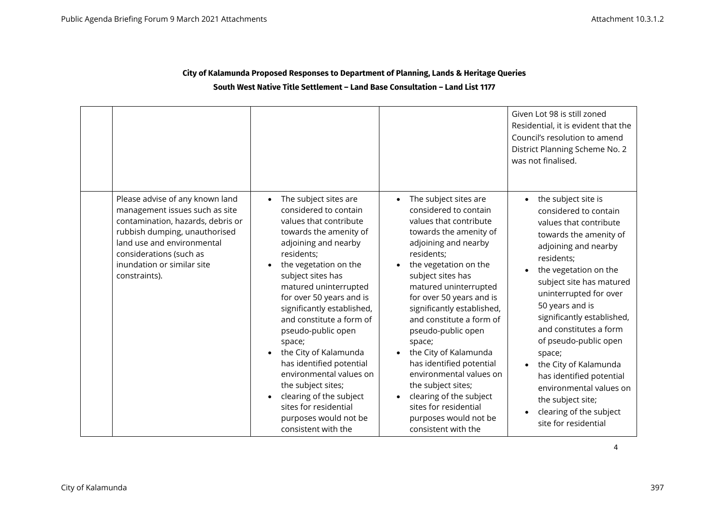### **City of Kalamunda Proposed Responses to Department of Planning, Lands & Heritage Queries South West Native Title Settlement – Land Base Consultation – Land List 1177**

|                                                                                                                                                                                                                                                 |                                                                                                                                                                                                                                                                                                                                                                                                                                                                                                                                                              |                                                                                                                                                                                                                                                                                                                                                                                                                                                                                                                                                 | Given Lot 98 is still zoned<br>Residential, it is evident that the<br>Council's resolution to amend<br>District Planning Scheme No. 2<br>was not finalised.                                                                                                                                                                                                                                                                                                                                 |
|-------------------------------------------------------------------------------------------------------------------------------------------------------------------------------------------------------------------------------------------------|--------------------------------------------------------------------------------------------------------------------------------------------------------------------------------------------------------------------------------------------------------------------------------------------------------------------------------------------------------------------------------------------------------------------------------------------------------------------------------------------------------------------------------------------------------------|-------------------------------------------------------------------------------------------------------------------------------------------------------------------------------------------------------------------------------------------------------------------------------------------------------------------------------------------------------------------------------------------------------------------------------------------------------------------------------------------------------------------------------------------------|---------------------------------------------------------------------------------------------------------------------------------------------------------------------------------------------------------------------------------------------------------------------------------------------------------------------------------------------------------------------------------------------------------------------------------------------------------------------------------------------|
| Please advise of any known land<br>management issues such as site<br>contamination, hazards, debris or<br>rubbish dumping, unauthorised<br>land use and environmental<br>considerations (such as<br>inundation or similar site<br>constraints). | The subject sites are<br>considered to contain<br>values that contribute<br>towards the amenity of<br>adjoining and nearby<br>residents;<br>the vegetation on the<br>subject sites has<br>matured uninterrupted<br>for over 50 years and is<br>significantly established,<br>and constitute a form of<br>pseudo-public open<br>space;<br>the City of Kalamunda<br>has identified potential<br>environmental values on<br>the subject sites;<br>clearing of the subject<br>$\bullet$<br>sites for residential<br>purposes would not be<br>consistent with the | The subject sites are<br>considered to contain<br>values that contribute<br>towards the amenity of<br>adjoining and nearby<br>residents;<br>the vegetation on the<br>subject sites has<br>matured uninterrupted<br>for over 50 years and is<br>significantly established,<br>and constitute a form of<br>pseudo-public open<br>space;<br>the City of Kalamunda<br>has identified potential<br>environmental values on<br>the subject sites;<br>clearing of the subject<br>sites for residential<br>purposes would not be<br>consistent with the | the subject site is<br>considered to contain<br>values that contribute<br>towards the amenity of<br>adjoining and nearby<br>residents;<br>the vegetation on the<br>subject site has matured<br>uninterrupted for over<br>50 years and is<br>significantly established,<br>and constitutes a form<br>of pseudo-public open<br>space;<br>the City of Kalamunda<br>has identified potential<br>environmental values on<br>the subject site;<br>clearing of the subject<br>site for residential |